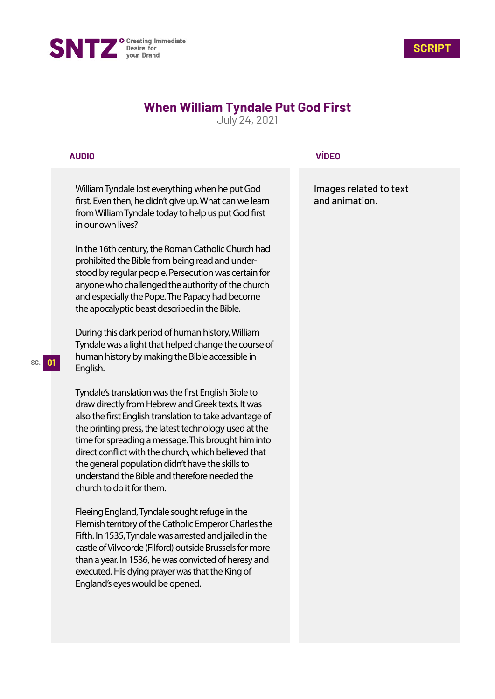



# **When William Tyndale Put God First**

July 24, 2021

## **AUDIO**

William Tyndale lost everything when he put God first. Even then, he didn't give up. What can we learn from William Tyndale today to help us put God first in our own lives?

In the 16th century, the Roman Catholic Church had prohibited the Bible from being read and understood by regular people. Persecution was certain for anyone who challenged the authority of the church and especially the Pope. The Papacy had become the apocalyptic beast described in the Bible.

During this dark period of human history, William Tyndale was a light that helped change the course of human history by making the Bible accessible in English.

Tyndale's translation was the first English Bible to draw directly from Hebrew and Greek texts. It was also the first English translation to take advantage of the printing press, the latest technology used at the time for spreading a message. This brought him into direct conflict with the church, which believed that the general population didn't have the skills to understand the Bible and therefore needed the church to do it for them.

Fleeing England, Tyndale sought refuge in the Flemish territory of the Catholic Emperor Charles the Fifth. In 1535, Tyndale was arrested and jailed in the castle of Vilvoorde (Filford) outside Brussels for more than a year. In 1536, he was convicted of heresy and executed. His dying prayer was that the King of England's eyes would be opened.

## **VÍDEO**

Images related to text and animation.